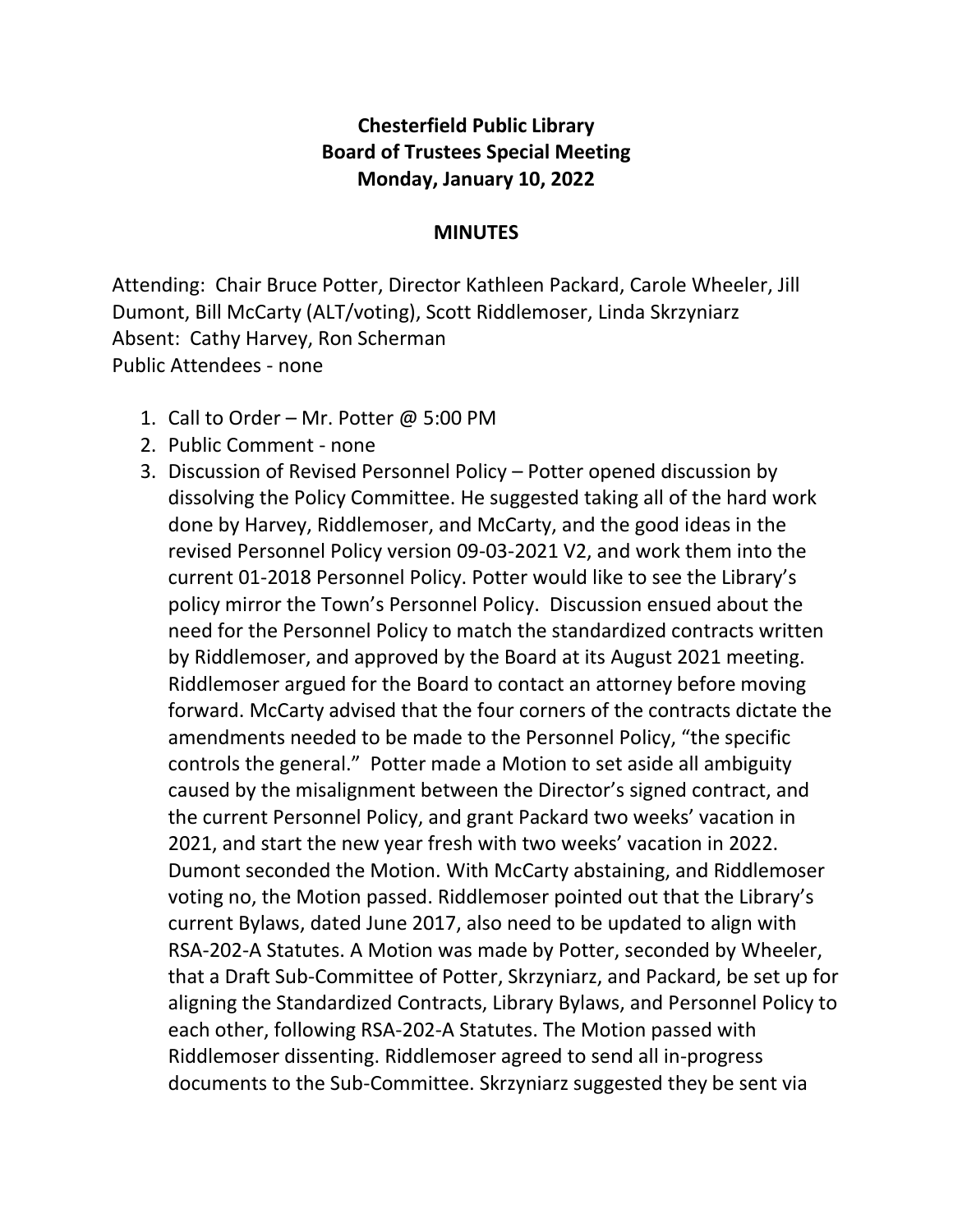## **Chesterfield Public Library Board of Trustees Special Meeting Monday, January 10, 2022**

## **MINUTES**

Attending: Chair Bruce Potter, Director Kathleen Packard, Carole Wheeler, Jill Dumont, Bill McCarty (ALT/voting), Scott Riddlemoser, Linda Skrzyniarz Absent: Cathy Harvey, Ron Scherman Public Attendees - none

- 1. Call to Order Mr. Potter  $\omega$  5:00 PM
- 2. Public Comment none
- 3. Discussion of Revised Personnel Policy Potter opened discussion by dissolving the Policy Committee. He suggested taking all of the hard work done by Harvey, Riddlemoser, and McCarty, and the good ideas in the revised Personnel Policy version 09-03-2021 V2, and work them into the current 01-2018 Personnel Policy. Potter would like to see the Library's policy mirror the Town's Personnel Policy. Discussion ensued about the need for the Personnel Policy to match the standardized contracts written by Riddlemoser, and approved by the Board at its August 2021 meeting. Riddlemoser argued for the Board to contact an attorney before moving forward. McCarty advised that the four corners of the contracts dictate the amendments needed to be made to the Personnel Policy, "the specific controls the general." Potter made a Motion to set aside all ambiguity caused by the misalignment between the Director's signed contract, and the current Personnel Policy, and grant Packard two weeks' vacation in 2021, and start the new year fresh with two weeks' vacation in 2022. Dumont seconded the Motion. With McCarty abstaining, and Riddlemoser voting no, the Motion passed. Riddlemoser pointed out that the Library's current Bylaws, dated June 2017, also need to be updated to align with RSA-202-A Statutes. A Motion was made by Potter, seconded by Wheeler, that a Draft Sub-Committee of Potter, Skrzyniarz, and Packard, be set up for aligning the Standardized Contracts, Library Bylaws, and Personnel Policy to each other, following RSA-202-A Statutes. The Motion passed with Riddlemoser dissenting. Riddlemoser agreed to send all in-progress documents to the Sub-Committee. Skrzyniarz suggested they be sent via